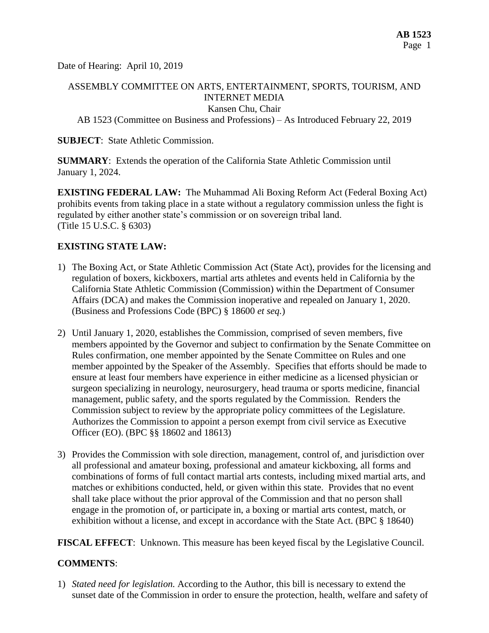Date of Hearing: April 10, 2019

# ASSEMBLY COMMITTEE ON ARTS, ENTERTAINMENT, SPORTS, TOURISM, AND INTERNET MEDIA

Kansen Chu, Chair

AB 1523 (Committee on Business and Professions) – As Introduced February 22, 2019

#### **SUBJECT:** State Athletic Commission.

**SUMMARY**: Extends the operation of the California State Athletic Commission until January 1, 2024.

**EXISTING FEDERAL LAW:** The Muhammad Ali Boxing Reform Act (Federal Boxing Act) prohibits events from taking place in a state without a regulatory commission unless the fight is regulated by either another state's commission or on sovereign tribal land. (Title 15 U.S.C. § 6303)

## **EXISTING STATE LAW:**

- 1) The Boxing Act, or State Athletic Commission Act (State Act), provides for the licensing and regulation of boxers, kickboxers, martial arts athletes and events held in California by the California State Athletic Commission (Commission) within the Department of Consumer Affairs (DCA) and makes the Commission inoperative and repealed on January 1, 2020. (Business and Professions Code (BPC) § 18600 *et seq.*)
- 2) Until January 1, 2020, establishes the Commission, comprised of seven members, five members appointed by the Governor and subject to confirmation by the Senate Committee on Rules confirmation, one member appointed by the Senate Committee on Rules and one member appointed by the Speaker of the Assembly. Specifies that efforts should be made to ensure at least four members have experience in either medicine as a licensed physician or surgeon specializing in neurology, neurosurgery, head trauma or sports medicine, financial management, public safety, and the sports regulated by the Commission. Renders the Commission subject to review by the appropriate policy committees of the Legislature. Authorizes the Commission to appoint a person exempt from civil service as Executive Officer (EO). (BPC §§ 18602 and 18613)
- 3) Provides the Commission with sole direction, management, control of, and jurisdiction over all professional and amateur boxing, professional and amateur kickboxing, all forms and combinations of forms of full contact martial arts contests, including mixed martial arts, and matches or exhibitions conducted, held, or given within this state. Provides that no event shall take place without the prior approval of the Commission and that no person shall engage in the promotion of, or participate in, a boxing or martial arts contest, match, or exhibition without a license, and except in accordance with the State Act. (BPC § 18640)

**FISCAL EFFECT**: Unknown. This measure has been keyed fiscal by the Legislative Council.

## **COMMENTS**:

1) *Stated need for legislation.* According to the Author, this bill is necessary to extend the sunset date of the Commission in order to ensure the protection, health, welfare and safety of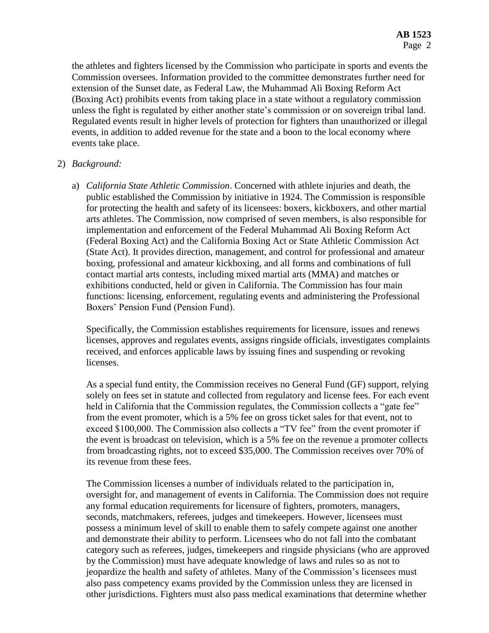the athletes and fighters licensed by the Commission who participate in sports and events the Commission oversees. Information provided to the committee demonstrates further need for extension of the Sunset date, as Federal Law, the Muhammad Ali Boxing Reform Act (Boxing Act) prohibits events from taking place in a state without a regulatory commission unless the fight is regulated by either another state's commission or on sovereign tribal land. Regulated events result in higher levels of protection for fighters than unauthorized or illegal events, in addition to added revenue for the state and a boon to the local economy where events take place.

### 2) *Background:*

a) *California State Athletic Commission*. Concerned with athlete injuries and death, the public established the Commission by initiative in 1924. The Commission is responsible for protecting the health and safety of its licensees: boxers, kickboxers, and other martial arts athletes. The Commission, now comprised of seven members, is also responsible for implementation and enforcement of the Federal Muhammad Ali Boxing Reform Act (Federal Boxing Act) and the California Boxing Act or State Athletic Commission Act (State Act). It provides direction, management, and control for professional and amateur boxing, professional and amateur kickboxing, and all forms and combinations of full contact martial arts contests, including mixed martial arts (MMA) and matches or exhibitions conducted, held or given in California. The Commission has four main functions: licensing, enforcement, regulating events and administering the Professional Boxers' Pension Fund (Pension Fund).

Specifically, the Commission establishes requirements for licensure, issues and renews licenses, approves and regulates events, assigns ringside officials, investigates complaints received, and enforces applicable laws by issuing fines and suspending or revoking licenses.

As a special fund entity, the Commission receives no General Fund (GF) support, relying solely on fees set in statute and collected from regulatory and license fees. For each event held in California that the Commission regulates, the Commission collects a "gate fee" from the event promoter, which is a 5% fee on gross ticket sales for that event, not to exceed \$100,000. The Commission also collects a "TV fee" from the event promoter if the event is broadcast on television, which is a 5% fee on the revenue a promoter collects from broadcasting rights, not to exceed \$35,000. The Commission receives over 70% of its revenue from these fees.

The Commission licenses a number of individuals related to the participation in, oversight for, and management of events in California. The Commission does not require any formal education requirements for licensure of fighters, promoters, managers, seconds, matchmakers, referees, judges and timekeepers. However, licensees must possess a minimum level of skill to enable them to safely compete against one another and demonstrate their ability to perform. Licensees who do not fall into the combatant category such as referees, judges, timekeepers and ringside physicians (who are approved by the Commission) must have adequate knowledge of laws and rules so as not to jeopardize the health and safety of athletes. Many of the Commission's licensees must also pass competency exams provided by the Commission unless they are licensed in other jurisdictions. Fighters must also pass medical examinations that determine whether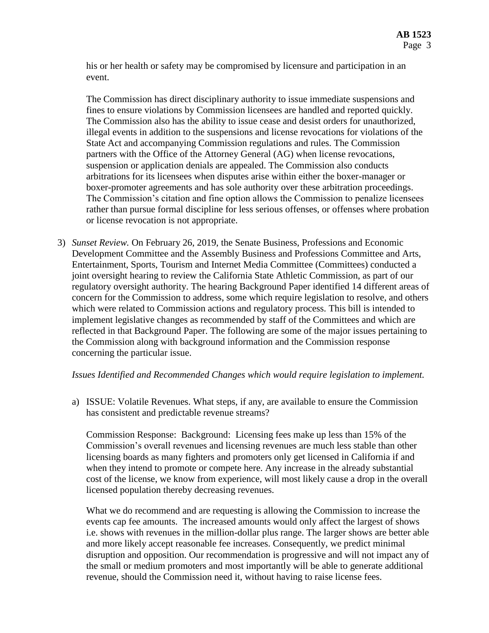his or her health or safety may be compromised by licensure and participation in an event.

The Commission has direct disciplinary authority to issue immediate suspensions and fines to ensure violations by Commission licensees are handled and reported quickly. The Commission also has the ability to issue cease and desist orders for unauthorized, illegal events in addition to the suspensions and license revocations for violations of the State Act and accompanying Commission regulations and rules. The Commission partners with the Office of the Attorney General (AG) when license revocations, suspension or application denials are appealed. The Commission also conducts arbitrations for its licensees when disputes arise within either the boxer-manager or boxer-promoter agreements and has sole authority over these arbitration proceedings. The Commission's citation and fine option allows the Commission to penalize licensees rather than pursue formal discipline for less serious offenses, or offenses where probation or license revocation is not appropriate.

3) *Sunset Review.* On February 26, 2019, the Senate Business, Professions and Economic Development Committee and the Assembly Business and Professions Committee and Arts, Entertainment, Sports, Tourism and Internet Media Committee (Committees) conducted a joint oversight hearing to review the California State Athletic Commission, as part of our regulatory oversight authority. The hearing Background Paper identified 14 different areas of concern for the Commission to address, some which require legislation to resolve, and others which were related to Commission actions and regulatory process. This bill is intended to implement legislative changes as recommended by staff of the Committees and which are reflected in that Background Paper. The following are some of the major issues pertaining to the Commission along with background information and the Commission response concerning the particular issue.

#### *Issues Identified and Recommended Changes which would require legislation to implement.*

a) ISSUE: Volatile Revenues. What steps, if any, are available to ensure the Commission has consistent and predictable revenue streams?

Commission Response: Background: Licensing fees make up less than 15% of the Commission's overall revenues and licensing revenues are much less stable than other licensing boards as many fighters and promoters only get licensed in California if and when they intend to promote or compete here. Any increase in the already substantial cost of the license, we know from experience, will most likely cause a drop in the overall licensed population thereby decreasing revenues.

What we do recommend and are requesting is allowing the Commission to increase the events cap fee amounts. The increased amounts would only affect the largest of shows i.e. shows with revenues in the million-dollar plus range. The larger shows are better able and more likely accept reasonable fee increases. Consequently, we predict minimal disruption and opposition. Our recommendation is progressive and will not impact any of the small or medium promoters and most importantly will be able to generate additional revenue, should the Commission need it, without having to raise license fees.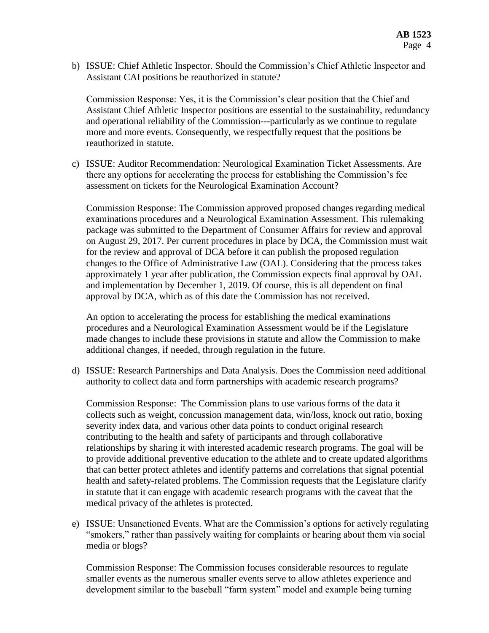b) ISSUE: Chief Athletic Inspector. Should the Commission's Chief Athletic Inspector and Assistant CAI positions be reauthorized in statute?

Commission Response: Yes, it is the Commission's clear position that the Chief and Assistant Chief Athletic Inspector positions are essential to the sustainability, redundancy and operational reliability of the Commission---particularly as we continue to regulate more and more events. Consequently, we respectfully request that the positions be reauthorized in statute.

c) ISSUE: Auditor Recommendation: Neurological Examination Ticket Assessments. Are there any options for accelerating the process for establishing the Commission's fee assessment on tickets for the Neurological Examination Account?

Commission Response: The Commission approved proposed changes regarding medical examinations procedures and a Neurological Examination Assessment. This rulemaking package was submitted to the Department of Consumer Affairs for review and approval on August 29, 2017. Per current procedures in place by DCA, the Commission must wait for the review and approval of DCA before it can publish the proposed regulation changes to the Office of Administrative Law (OAL). Considering that the process takes approximately 1 year after publication, the Commission expects final approval by OAL and implementation by December 1, 2019. Of course, this is all dependent on final approval by DCA, which as of this date the Commission has not received.

An option to accelerating the process for establishing the medical examinations procedures and a Neurological Examination Assessment would be if the Legislature made changes to include these provisions in statute and allow the Commission to make additional changes, if needed, through regulation in the future.

d) ISSUE: Research Partnerships and Data Analysis. Does the Commission need additional authority to collect data and form partnerships with academic research programs?

Commission Response: The Commission plans to use various forms of the data it collects such as weight, concussion management data, win/loss, knock out ratio, boxing severity index data, and various other data points to conduct original research contributing to the health and safety of participants and through collaborative relationships by sharing it with interested academic research programs. The goal will be to provide additional preventive education to the athlete and to create updated algorithms that can better protect athletes and identify patterns and correlations that signal potential health and safety-related problems. The Commission requests that the Legislature clarify in statute that it can engage with academic research programs with the caveat that the medical privacy of the athletes is protected.

e) ISSUE: Unsanctioned Events. What are the Commission's options for actively regulating "smokers," rather than passively waiting for complaints or hearing about them via social media or blogs?

Commission Response: The Commission focuses considerable resources to regulate smaller events as the numerous smaller events serve to allow athletes experience and development similar to the baseball "farm system" model and example being turning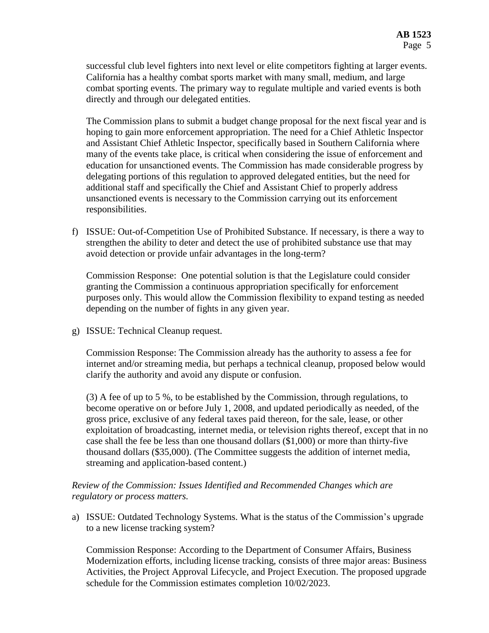successful club level fighters into next level or elite competitors fighting at larger events. California has a healthy combat sports market with many small, medium, and large combat sporting events. The primary way to regulate multiple and varied events is both directly and through our delegated entities.

The Commission plans to submit a budget change proposal for the next fiscal year and is hoping to gain more enforcement appropriation. The need for a Chief Athletic Inspector and Assistant Chief Athletic Inspector, specifically based in Southern California where many of the events take place, is critical when considering the issue of enforcement and education for unsanctioned events. The Commission has made considerable progress by delegating portions of this regulation to approved delegated entities, but the need for additional staff and specifically the Chief and Assistant Chief to properly address unsanctioned events is necessary to the Commission carrying out its enforcement responsibilities.

f) ISSUE: Out-of-Competition Use of Prohibited Substance. If necessary, is there a way to strengthen the ability to deter and detect the use of prohibited substance use that may avoid detection or provide unfair advantages in the long-term?

Commission Response: One potential solution is that the Legislature could consider granting the Commission a continuous appropriation specifically for enforcement purposes only. This would allow the Commission flexibility to expand testing as needed depending on the number of fights in any given year.

g) ISSUE: Technical Cleanup request.

Commission Response: The Commission already has the authority to assess a fee for internet and/or streaming media, but perhaps a technical cleanup, proposed below would clarify the authority and avoid any dispute or confusion.

(3) A fee of up to 5 %, to be established by the Commission, through regulations, to become operative on or before July 1, 2008, and updated periodically as needed, of the gross price, exclusive of any federal taxes paid thereon, for the sale, lease, or other exploitation of broadcasting, internet media, or television rights thereof, except that in no case shall the fee be less than one thousand dollars (\$1,000) or more than thirty-five thousand dollars (\$35,000). (The Committee suggests the addition of internet media, streaming and application-based content.)

### *Review of the Commission: Issues Identified and Recommended Changes which are regulatory or process matters.*

a) ISSUE: Outdated Technology Systems. What is the status of the Commission's upgrade to a new license tracking system?

Commission Response: According to the Department of Consumer Affairs, Business Modernization efforts, including license tracking, consists of three major areas: Business Activities, the Project Approval Lifecycle, and Project Execution. The proposed upgrade schedule for the Commission estimates completion 10/02/2023.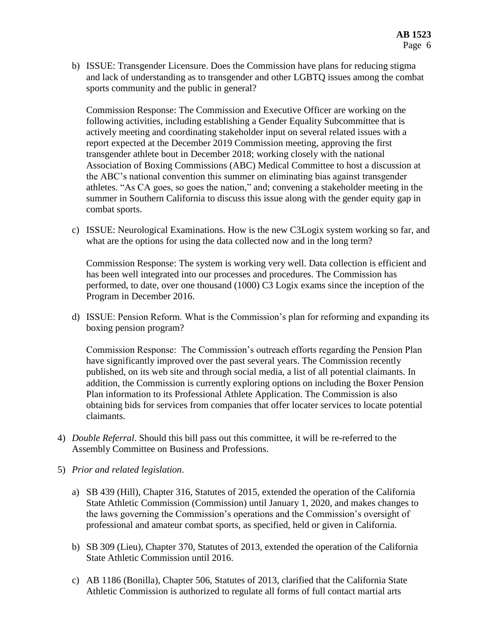b) ISSUE: Transgender Licensure. Does the Commission have plans for reducing stigma and lack of understanding as to transgender and other LGBTQ issues among the combat sports community and the public in general?

Commission Response: The Commission and Executive Officer are working on the following activities, including establishing a Gender Equality Subcommittee that is actively meeting and coordinating stakeholder input on several related issues with a report expected at the December 2019 Commission meeting, approving the first transgender athlete bout in December 2018; working closely with the national Association of Boxing Commissions (ABC) Medical Committee to host a discussion at the ABC's national convention this summer on eliminating bias against transgender athletes. "As CA goes, so goes the nation," and; convening a stakeholder meeting in the summer in Southern California to discuss this issue along with the gender equity gap in combat sports.

c) ISSUE: Neurological Examinations. How is the new C3Logix system working so far, and what are the options for using the data collected now and in the long term?

Commission Response: The system is working very well. Data collection is efficient and has been well integrated into our processes and procedures. The Commission has performed, to date, over one thousand (1000) C3 Logix exams since the inception of the Program in December 2016.

d) ISSUE: Pension Reform. What is the Commission's plan for reforming and expanding its boxing pension program?

Commission Response: The Commission's outreach efforts regarding the Pension Plan have significantly improved over the past several years. The Commission recently published, on its web site and through social media, a list of all potential claimants. In addition, the Commission is currently exploring options on including the Boxer Pension Plan information to its Professional Athlete Application. The Commission is also obtaining bids for services from companies that offer locater services to locate potential claimants.

- 4) *Double Referral*. Should this bill pass out this committee, it will be re-referred to the Assembly Committee on Business and Professions.
- 5) *Prior and related legislation*.
	- a) SB 439 (Hill), Chapter 316, Statutes of 2015, extended the operation of the California State Athletic Commission (Commission) until January 1, 2020, and makes changes to the laws governing the Commission's operations and the Commission's oversight of professional and amateur combat sports, as specified, held or given in California.
	- b) SB 309 (Lieu), Chapter 370, Statutes of 2013, extended the operation of the California State Athletic Commission until 2016.
	- c) AB 1186 (Bonilla), Chapter 506, Statutes of 2013, clarified that the California State Athletic Commission is authorized to regulate all forms of full contact martial arts